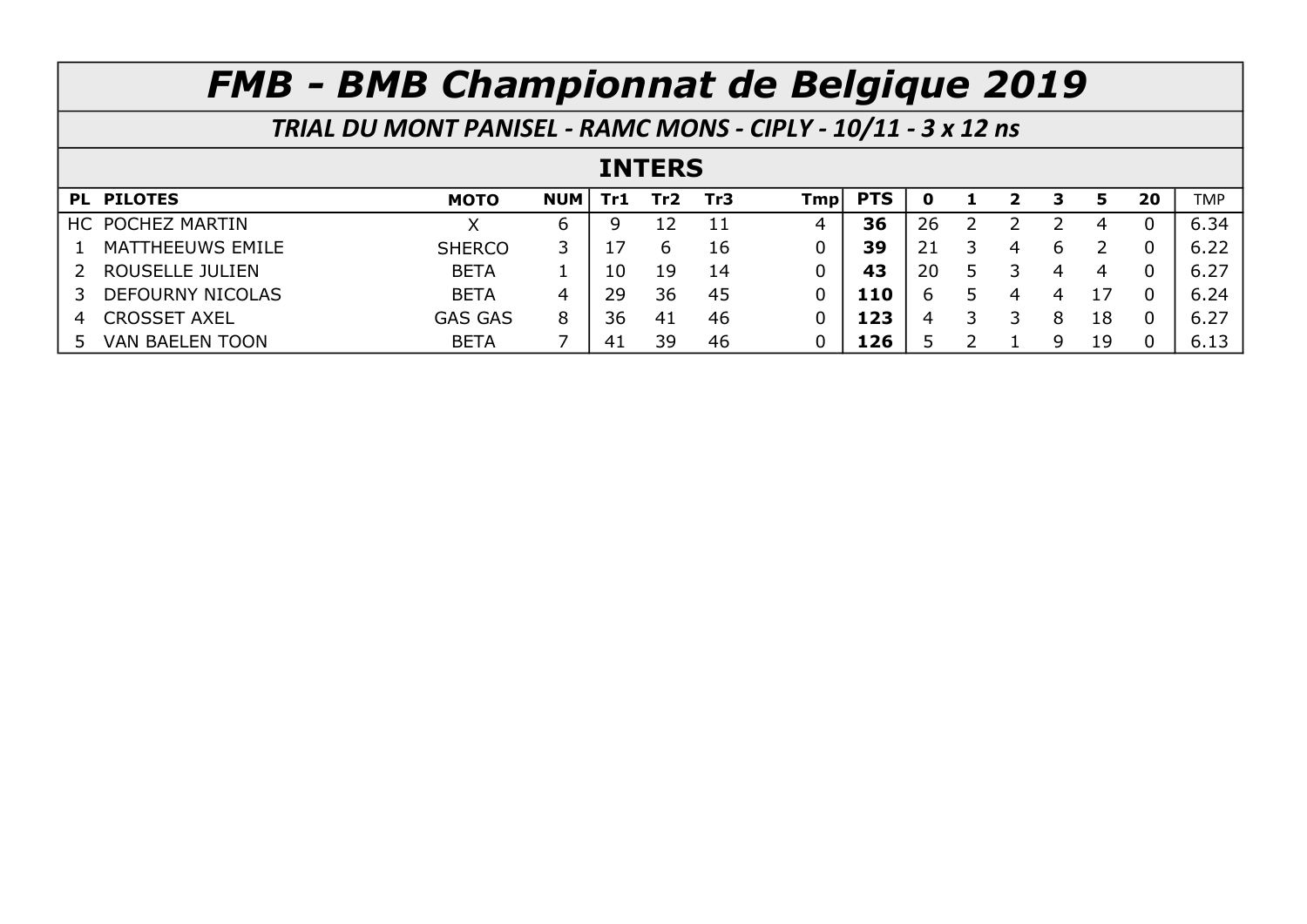| TRIAL DU MONT PANISEL - RAMC MONS - CIPLY - 10/11 - 3 x 12 ns |                |            |     |                 |     |     |            |    |   |   |   |    |    |            |
|---------------------------------------------------------------|----------------|------------|-----|-----------------|-----|-----|------------|----|---|---|---|----|----|------------|
| <b>INTERS</b>                                                 |                |            |     |                 |     |     |            |    |   |   |   |    |    |            |
| PL PILOTES                                                    | <b>MOTO</b>    | <b>NUM</b> | Tr1 | Tr <sub>2</sub> | Tr3 | Tmp | <b>PTS</b> | O  |   | 2 | З | 5  | 20 | <b>TMP</b> |
| HC POCHEZ MARTIN                                              |                | 6          | 9   | 12              | 11  | 4   | 36         | 26 |   |   |   | 4  |    | 6.34       |
| MATTHEEUWS EMILE                                              | <b>SHERCO</b>  | 3          |     | 6               | 16  | 0   | 39         | 21 |   | 4 | 6 |    |    | 6.22       |
| ROUSELLE JULIEN                                               | <b>BETA</b>    |            | 10  | 19              | 14  | 0   | 43         | 20 | 5 |   | 4 | 4  |    | 6.27       |
| <b>DEFOURNY NICOLAS</b>                                       | <b>BETA</b>    | 4          | 29  | 36              | 45  | 0   | 110        | 6  |   | 4 | 4 | 17 |    | 6.24       |
| <b>CROSSET AXEL</b><br>4                                      | <b>GAS GAS</b> | 8          | 36  | 41              | 46  | 0   | 123        | 4  | 3 |   | 8 | 18 |    | 6.27       |
| <b>VAN BAELEN TOON</b>                                        | <b>BETA</b>    |            | 41  | 39              | 46  | 0   | 126        |    |   |   | 9 | 19 |    | 6.13       |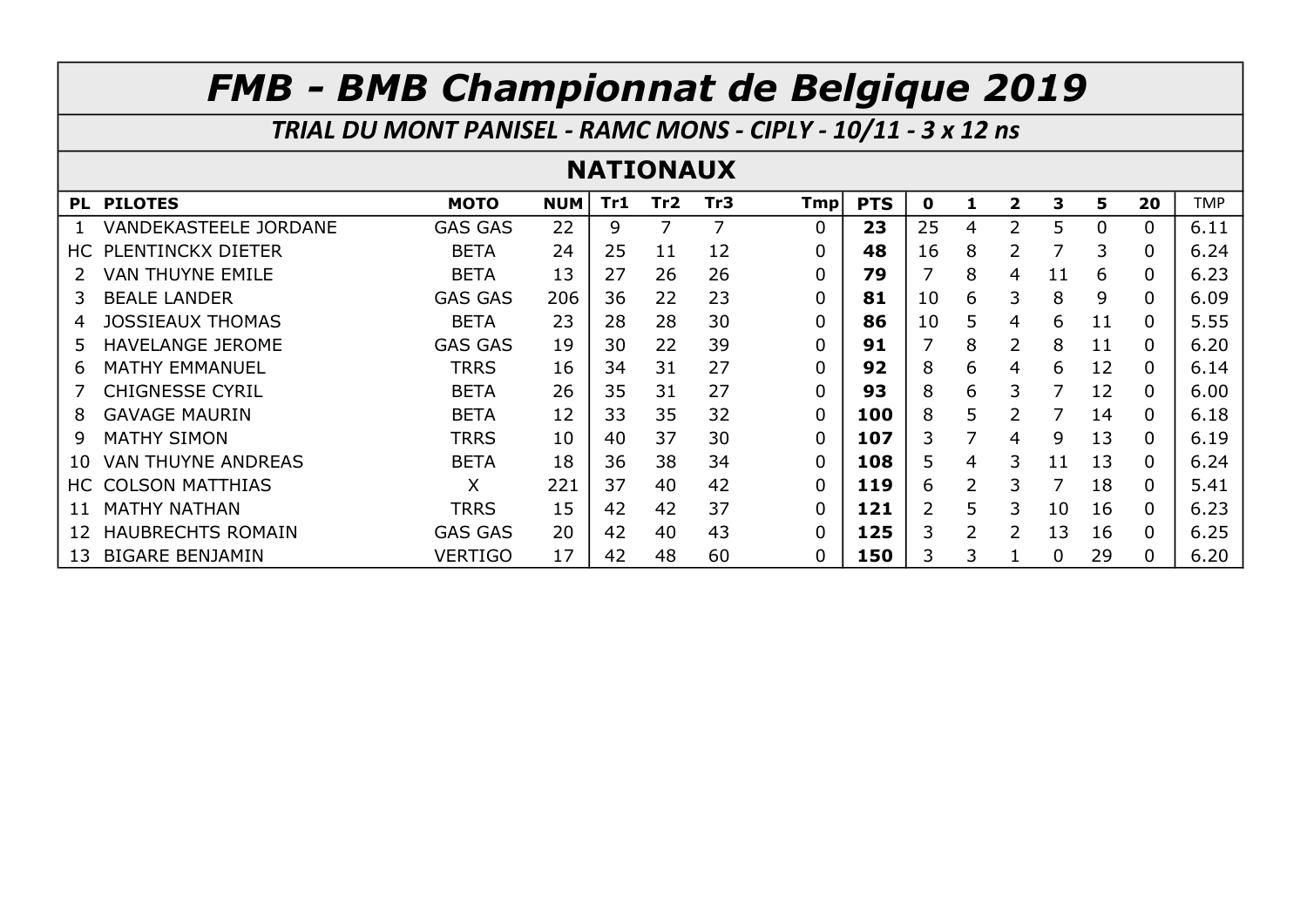TRIAL DU MONT PANISEL - RAMC MONS - CIPLY - 10/11 - 3 x 12 ns

### NATIONAUX

|     | PL PILOTES                   | <b>MOTO</b>    | <b>NUM</b> | Tr1 | Tr <sub>2</sub> | Tr <sub>3</sub> | Tmpl | <b>PTS</b> | 0  | ı             | $\overline{\mathbf{2}}$ | 3  | 5.       | 20       | <b>TMP</b> |
|-----|------------------------------|----------------|------------|-----|-----------------|-----------------|------|------------|----|---------------|-------------------------|----|----------|----------|------------|
|     | <b>VANDEKASTEELE JORDANE</b> | <b>GAS GAS</b> | 22         | 9   |                 |                 | 0    | 23         | 25 | 4             | フ                       | 5  | $\Omega$ | 0        | 6.11       |
| HC. | PLENTINCKX DIETER            | <b>BETA</b>    | 24         | 25  | 11              | 12              | 0    | 48         | 16 | 8             | 2                       | 7  | 3        | $\Omega$ | 6.24       |
|     | VAN THUYNE EMILE             | <b>BETA</b>    | 13         | 27  | 26              | 26              | 0    | 79         |    | 8             | 4                       | 11 | 6        | 0        | 6.23       |
| 3   | <b>BEALE LANDER</b>          | <b>GAS GAS</b> | 206        | 36  | 22              | 23              | 0    | 81         | 10 | 6             | 3                       | 8  | 9        | $\Omega$ | 6.09       |
| 4   | <b>JOSSIEAUX THOMAS</b>      | <b>BETA</b>    | 23         | 28  | 28              | 30              | 0    | 86         | 10 | 5             | 4                       | 6  | 11       | $\Omega$ | 5.55       |
| 5.  | <b>HAVELANGE JEROME</b>      | <b>GAS GAS</b> | 19         | 30  | 22              | 39              | 0    | 91         |    | 8             | 2                       | 8  | 11       | 0        | 6.20       |
| 6   | <b>MATHY EMMANUEL</b>        | <b>TRRS</b>    | 16         | 34  | 31              | 27              | 0    | 92         | 8  | 6             | 4                       | 6  | 12       | $\Omega$ | 6.14       |
|     | <b>CHIGNESSE CYRIL</b>       | <b>BETA</b>    | 26         | 35  | 31              | 27              | 0    | 93         | 8  | 6             | 3                       | 7  | 12       | $\Omega$ | 6.00       |
| 8   | <b>GAVAGE MAURIN</b>         | <b>BETA</b>    | 12         | 33  | 35              | 32              | 0    | 100        | 8  | 5             |                         |    | 14       | $\Omega$ | 6.18       |
| 9   | <b>MATHY SIMON</b>           | <b>TRRS</b>    | 10         | 40  | 37              | 30              | 0    | 107        | 3. | 7             | 4                       | 9  | 13       | $\Omega$ | 6.19       |
| 10  | <b>VAN THUYNE ANDREAS</b>    | <b>BETA</b>    | 18         | 36  | 38              | 34              | 0    | 108        | 5. | 4             | 3                       | 11 | 13       | $\Omega$ | 6.24       |
| HC. | <b>COLSON MATTHIAS</b>       | X              | 221        | 37  | 40              | 42              | 0    | 119        | 6  | $\mathcal{P}$ | 3                       | 7  | 18       | $\Omega$ | 5.41       |
|     | <b>MATHY NATHAN</b>          | <b>TRRS</b>    | 15         | 42  | 42              | 37              | 0    | 121        | 2  | 5             | 3                       | 10 | 16       | $\Omega$ | 6.23       |
| 12  | <b>HAUBRECHTS ROMAIN</b>     | <b>GAS GAS</b> | 20         | 42  | 40              | 43              | 0    | 125        | 3  | 2             | 2                       | 13 | 16       | $\Omega$ | 6.25       |
| 13  | <b>BIGARE BENJAMIN</b>       | VERTIGO        | 17         | 42  | 48              | 60              | 0    | 150        | 3. | 3             |                         | 0  | 29       | $\Omega$ | 6.20       |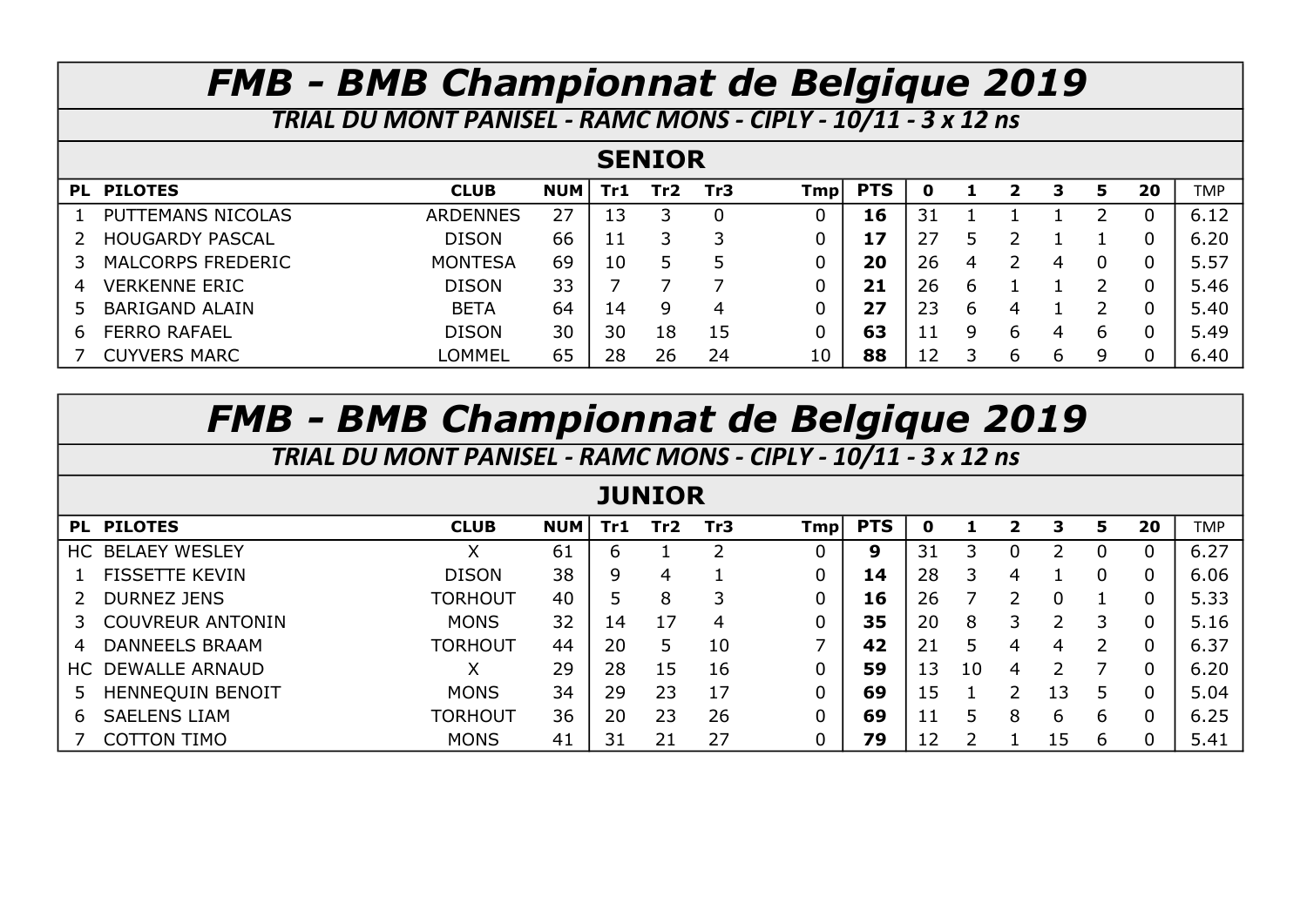TRIAL DU MONT PANISEL - RAMC MONS - CIPLY - 10/11 - 3 x 12 ns

### **SENIOR**

|   | PL PILOTES               | <b>CLUB</b>     | <b>NUM</b> | Tr1 | Tr2 | Tr3 | Tmpl | <b>PTS</b> |    |   |   |   | 20 | <b>TMP</b> |
|---|--------------------------|-----------------|------------|-----|-----|-----|------|------------|----|---|---|---|----|------------|
|   | PUTTEMANS NICOLAS        | <b>ARDENNES</b> | 27         | 13  |     | 0   |      | 16         |    |   |   |   |    | 6.12       |
|   | <b>HOUGARDY PASCAL</b>   | <b>DISON</b>    | 66         | 11  |     |     |      |            |    |   |   |   |    | 6.20       |
|   | <b>MALCORPS FREDERIC</b> | <b>MONTESA</b>  | 69         | 10  |     |     |      | 20         | 26 | 4 |   |   |    | 5.57       |
| 4 | <b>VERKENNE ERIC</b>     | <b>DISON</b>    | 33         |     |     |     |      | 21         | 26 | b |   |   |    | 5.46       |
|   | <b>BARIGAND ALAIN</b>    | <b>BETA</b>     | 64         | 14  | q   | 4   |      | 27         | 23 | b |   |   |    | 5.40       |
| 6 | <b>FERRO RAFAEL</b>      | <b>DISON</b>    | 30         | 30  | 18  | 15  |      | 63         |    | 9 |   | ь |    | 5.49       |
|   | <b>CUYVERS MARC</b>      | LOMMEL          | 65         | 28  | 26  | 24  | 10   | 88         |    |   | h | Q |    | 6.40       |

## FMB - BMB Championnat de Belgique 2019

| TRIAL DU MONT PANISEL - RAMC MONS - CIPLY - 10/11 - 3 x 12 ns |                |            |     |     |                 |            |            |    |    |   |    |                |    |            |
|---------------------------------------------------------------|----------------|------------|-----|-----|-----------------|------------|------------|----|----|---|----|----------------|----|------------|
| <b>JUNIOR</b>                                                 |                |            |     |     |                 |            |            |    |    |   |    |                |    |            |
| PL PILOTES                                                    | <b>CLUB</b>    | <b>NUM</b> | Tr1 | Tr2 | Tr <sub>3</sub> | <b>Tmp</b> | <b>PTS</b> | 0  |    | 2 | 3  | 5              | 20 | <b>TMP</b> |
| <b>BELAEY WESLEY</b><br>HC.                                   | X.             | 61         | ь   |     |                 |            | 9          | 31 | 3  |   |    | 0              | 0  | 6.27       |
| <b>FISSETTE KEVIN</b><br>Т.                                   | <b>DISON</b>   | 38         | 9   | 4   |                 |            | 14         | 28 | 3  | 4 |    | 0              | 0  | 6.06       |
| <b>DURNEZ JENS</b>                                            | TORHOUT        | 40         |     | 8   |                 |            | 16         | 26 |    |   |    |                | 0  | 5.33       |
| <b>COUVREUR ANTONIN</b><br>3.                                 | <b>MONS</b>    | 32         | 14  | 17  | 4               |            | 35         | 20 | 8  | 3 |    | 3              | 0  | 5.16       |
| <b>DANNEELS BRAAM</b><br>4                                    | <b>TORHOUT</b> | 44         | 20  | 5   | 10              |            | 42         | 21 | 5  | 4 | 4  | $\overline{2}$ | 0  | 6.37       |
| DEWALLE ARNAUD<br>HC.                                         | Χ              | 29         | 28  | 15  | 16              |            | 59         | 13 | 10 | 4 |    | 7              | 0  | 6.20       |
| <b>HENNEQUIN BENOIT</b><br>5.                                 | <b>MONS</b>    | 34         | 29  | 23  | 17              |            | 69         | 15 |    | っ | .3 | 5              | 0  | 5.04       |
| <b>SAELENS LIAM</b><br>6.                                     | TORHOUT        | 36         | 20  | 23  | 26              |            | 69         | 11 | 5  | 8 | 6  | 6              | 0  | 6.25       |
| <b>COTTON TIMO</b>                                            | <b>MONS</b>    | 41         |     | 21  | 27              |            | 79         | 12 |    |   | :5 | 6              | 0  | 5.41       |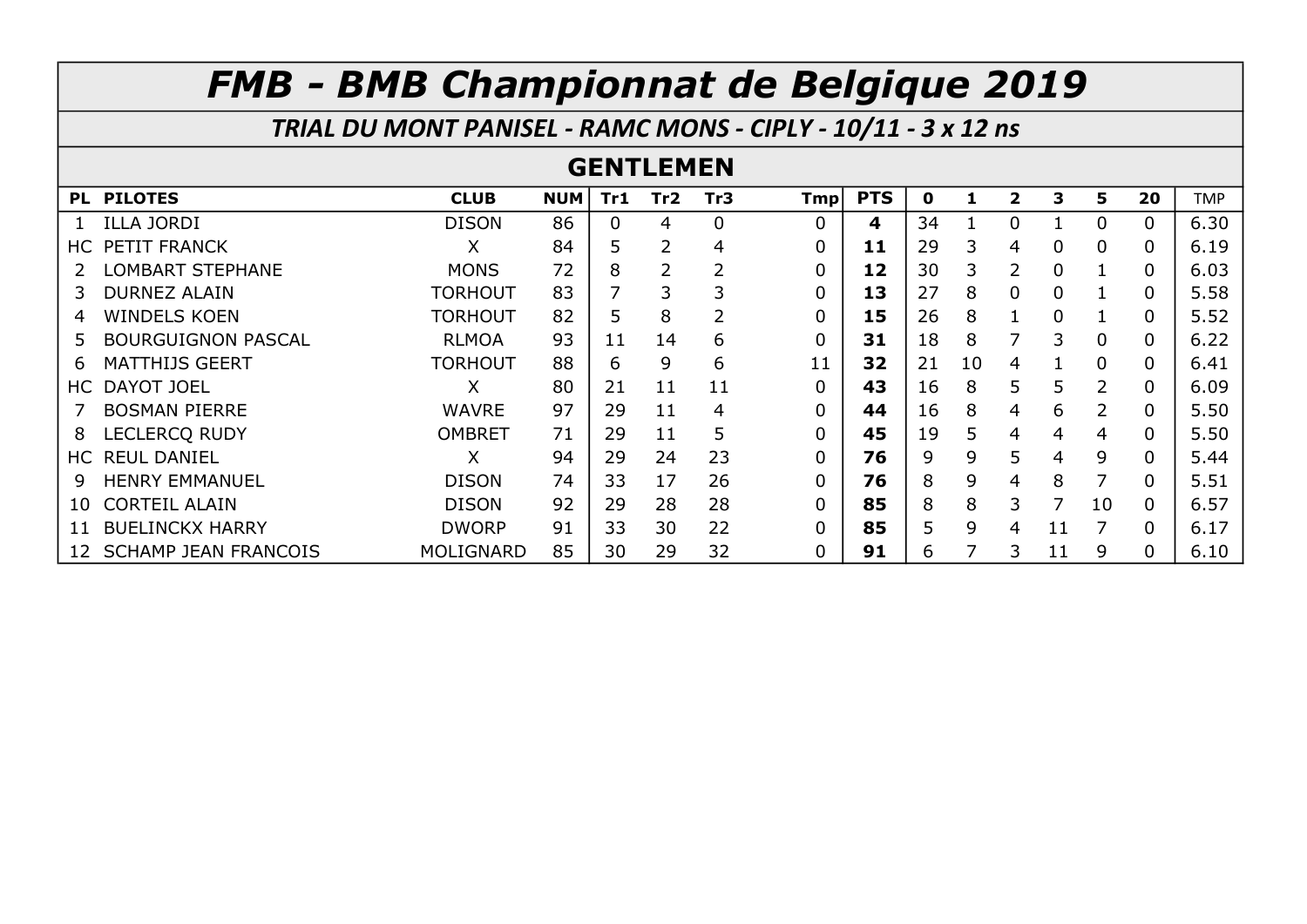TRIAL DU MONT PANISEL - RAMC MONS - CIPLY - 10/11 - 3 x 12 ns

#### GENTLEMEN

| PL. | <b>PILOTES</b>              | <b>CLUB</b>    | <b>NUM</b> | Tr1 | Tr <sub>2</sub> | Tr3 | Tmpl | <b>PTS</b> | $\mathbf 0$ | 1  | $\overline{2}$ | 3  | 5                         | 20       | <b>TMP</b> |
|-----|-----------------------------|----------------|------------|-----|-----------------|-----|------|------------|-------------|----|----------------|----|---------------------------|----------|------------|
|     | <b>ILLA JORDI</b>           | <b>DISON</b>   | 86         | 0   | 4               | 0   | 0    | 4          | 34          |    | 0              |    | 0                         | 0        | 6.30       |
| HC. | PETIT FRANCK                | X              | 84         |     | 2               | 4   | 0    | 11         | 29          | 3  | 4              | 0  | 0                         | 0        | 6.19       |
|     | LOMBART STEPHANE            | <b>MONS</b>    | 72         | 8   | $\overline{2}$  |     | 0    | 12         | 30          | 3  | 2              | 0  |                           | 0        | 6.03       |
|     | <b>DURNEZ ALAIN</b>         | <b>TORHOUT</b> | 83         |     | 3               |     | 0    | 13         | 27          | 8  | 0              | 0  |                           | 0        | 5.58       |
| 4   | <b>WINDELS KOEN</b>         | <b>TORHOUT</b> | 82         | 5   | 8               | 2   | 0    | 15         | 26          | 8  |                | 0  |                           | 0        | 5.52       |
| 5.  | <b>BOURGUIGNON PASCAL</b>   | <b>RLMOA</b>   | 93         | 11  | 14              | 6   | 0    | 31         | 18          | 8  |                | 3  | 0                         | 0        | 6.22       |
| 6   | <b>MATTHIJS GEERT</b>       | <b>TORHOUT</b> | 88         | 6   | 9               | 6   | 11   | 32         | 21          | 10 | 4              |    | $\Omega$                  | 0        | 6.41       |
| HC. | <b>DAYOT JOEL</b>           | X              | 80         | 21  | 11              | 11  | 0    | 43         | 16          | 8  | 5              | 5  | 2                         | 0        | 6.09       |
|     | <b>BOSMAN PIERRE</b>        | <b>WAVRE</b>   | 97         | 29  | 11              | 4   | 0    | 44         | 16          | 8  | 4              | 6  | $\mathsf{2}^{\mathsf{1}}$ | 0        | 5.50       |
| 8   | <b>LECLERCO RUDY</b>        | <b>OMBRET</b>  | 71         | 29  | 11              | 5   | 0    | 45         | 19          | 5  | 4              | 4  | 4                         | 0        | 5.50       |
| HC. | <b>REUL DANIEL</b>          | X              | 94         | 29  | 24              | 23  | 0    | 76         | 9           | 9  | 5              | 4  | 9                         | 0        | 5.44       |
| 9   | <b>HENRY EMMANUEL</b>       | <b>DISON</b>   | 74         | 33  | 17              | 26  | 0    | 76         | 8           | 9  | 4              | 8  | 7                         | $\Omega$ | 5.51       |
| 10  | <b>CORTEIL ALAIN</b>        | <b>DISON</b>   | 92         | 29  | 28              | 28  | 0    | 85         | 8           | 8  | 3              | 7  | 10                        | 0        | 6.57       |
| 11  | <b>BUELINCKX HARRY</b>      | <b>DWORP</b>   | 91         | 33  | 30              | 22  | 0    | 85         | 5           | 9  | 4              | 11 |                           | 0        | 6.17       |
| 12  | <b>SCHAMP JEAN FRANCOIS</b> | MOLIGNARD      | 85         | 30  | 29              | 32  | 0    | 91         | 6           |    | 3              | 11 | 9                         | 0        | 6.10       |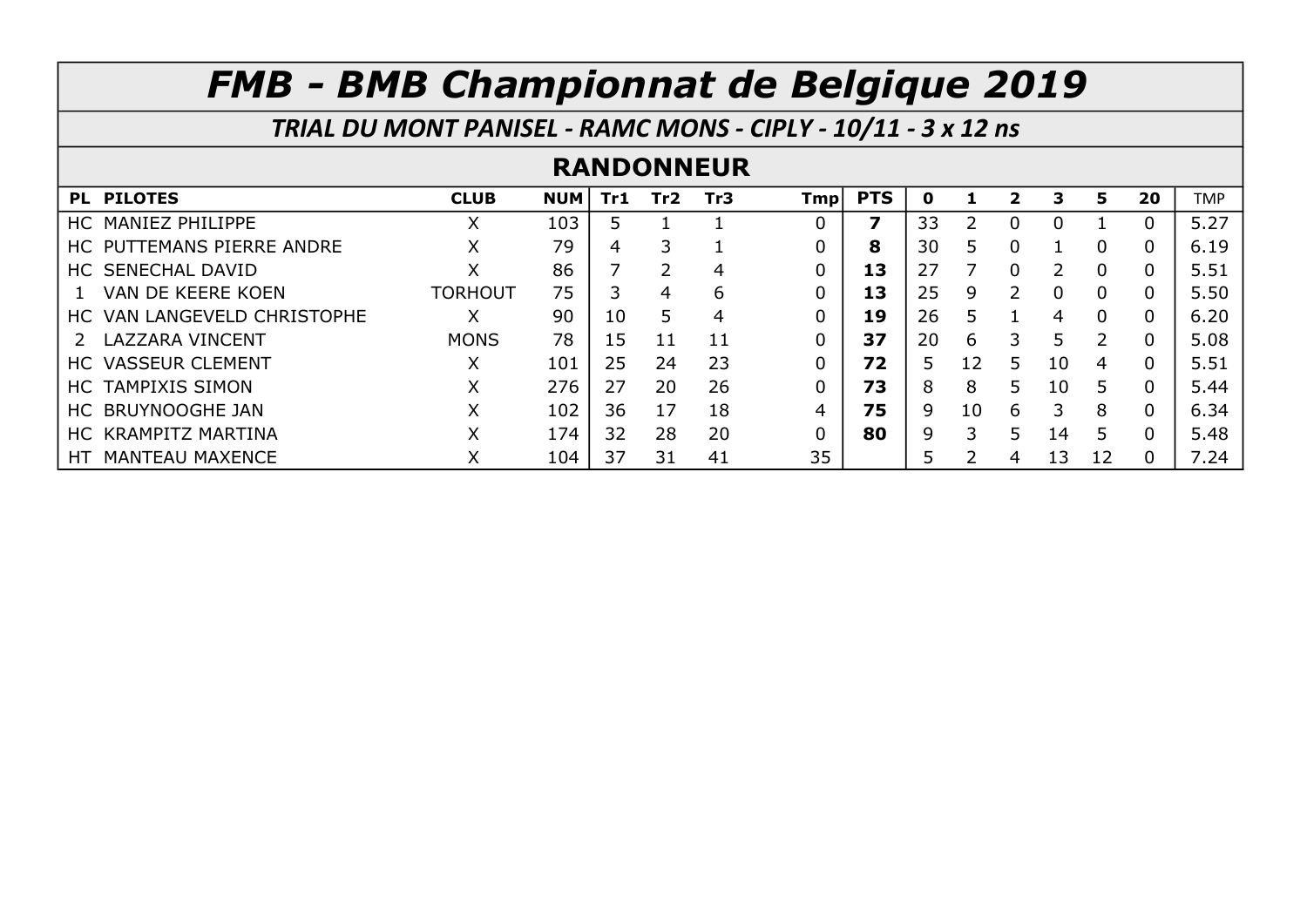TRIAL DU MONT PANISEL - RAMC MONS - CIPLY - 10/11 - 3 x 12 ns

#### RANDONNEUR

| PL PILOTES                   | <b>CLUB</b>    | <b>NUM</b> | Tr1 | Tr <sub>2</sub> | Tr3 | Tmpl | <b>PTS</b> | O  |    | 2 | З  | 5              | 20       | <b>TMP</b> |
|------------------------------|----------------|------------|-----|-----------------|-----|------|------------|----|----|---|----|----------------|----------|------------|
| HC MANIEZ PHILIPPE           | Χ              | 103        |     |                 |     | 0    | 7          | 33 |    |   |    |                |          | 5.27       |
| HC PUTTEMANS PIERRE ANDRE    | Χ              | 79         | 4   | 3               |     | 0    | 8          | 30 | 5. | 0 |    | $\overline{0}$ | $\Omega$ | 6.19       |
| HC SENECHAL DAVID            | Χ              | 86         |     | 2               | 4   | 0    | 13         | 27 |    | 0 |    | $\Omega$       | $\Omega$ | 5.51       |
| VAN DE KEERE KOEN            | <b>TORHOUT</b> | 75         |     | 4               | 6   | 0    | 13         | 25 | 9  |   |    | $\Omega$       |          | 5.50       |
| HC VAN LANGEVELD CHRISTOPHE  | X              | 90         | 10  | 5               | 4   | 0    | 19         | 26 | 5  |   | 4  | $\Omega$       |          | 6.20       |
| LAZZARA VINCENT              | <b>MONS</b>    | 78         | 15  | 11              | 11  | 0    | 37         | 20 | 6  | 3 | 5  | $\mathcal{P}$  |          | 5.08       |
| <b>HC VASSEUR CLEMENT</b>    | X              | 101        | 25  | 24              | 23  | 0    | 72         | 5. | 12 | 5 | 10 | 4              |          | 5.51       |
| HC TAMPIXIS SIMON            | X              | 276        | 27  | 20              | 26  | 0    | 73         | 8  | 8  | 5 | 10 | 5.             |          | 5.44       |
| HC BRUYNOOGHE JAN            | X              | 102        | 36  | 17              | 18  | 4    | 75         | q  | 10 | 6 |    | 8              | 0        | 6.34       |
| HC KRAMPITZ MARTINA          | Χ              | 174        | 32  | 28              | 20  | 0    | 80         | q  |    |   | 14 | 5              |          | 5.48       |
| <b>MANTEAU MAXENCE</b><br>HТ | Χ              | 104        | 37  | 31              | 41  | 35   |            |    |    | 4 | 13 | 12             |          | 7.24       |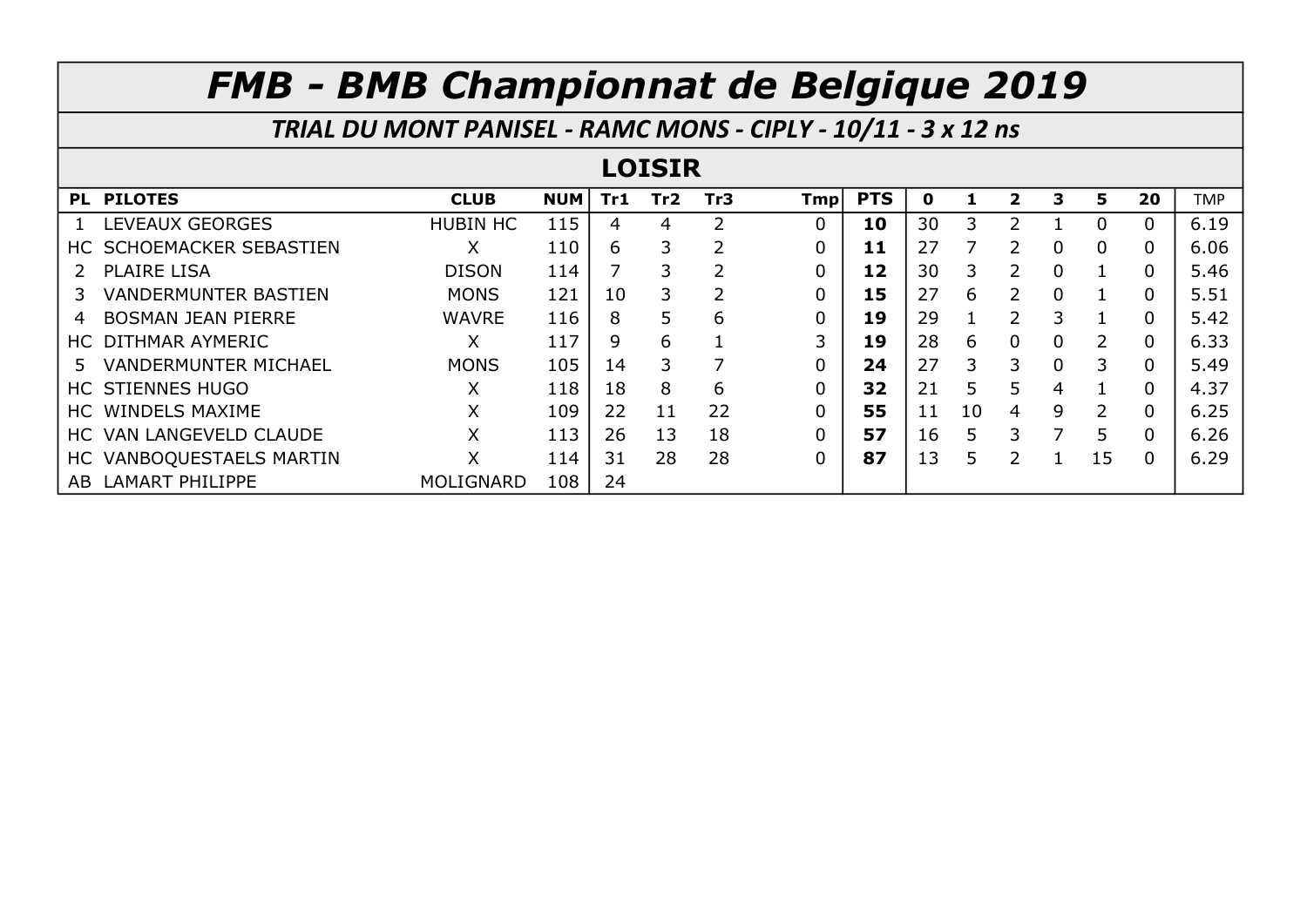|               | TRIAL DU MONT PANISEL - RAMC MONS - CIPLY - 10/11 - 3 x 12 ns |                 |            |     |     |                 |     |            |    |    |               |   |                           |          |            |
|---------------|---------------------------------------------------------------|-----------------|------------|-----|-----|-----------------|-----|------------|----|----|---------------|---|---------------------------|----------|------------|
| <b>LOISIR</b> |                                                               |                 |            |     |     |                 |     |            |    |    |               |   |                           |          |            |
|               | PL PILOTES                                                    | <b>CLUB</b>     | <b>NUM</b> | Tr1 | Tr2 | Tr <sub>3</sub> | Tmp | <b>PTS</b> | 0  |    | 2             | 3 | 5                         | 20       | <b>TMP</b> |
|               | LEVEAUX GEORGES                                               | <b>HUBIN HC</b> | 115        | 4   | 4   | 2               | 0   | 10         | 30 | 3  |               |   | 0                         | $\Omega$ | 6.19       |
|               | HC SCHOEMACKER SEBASTIEN                                      | X               | 110        | 6   | 3   |                 | 0   | 11         | 27 | 7  |               | 0 | 0                         | 0        | 6.06       |
|               | 2 PLAIRE LISA                                                 | <b>DISON</b>    | 114        |     | 3   |                 | 0   | 12         | 30 | 3  | 2             | 0 |                           | $\Omega$ | 5.46       |
|               | <b>VANDERMUNTER BASTIEN</b>                                   | <b>MONS</b>     | 121        | 10  | 3   | 2               | 0   | 15         | 27 | 6  | $\mathcal{P}$ | 0 |                           | $\Omega$ | 5.51       |
| 4             | <b>BOSMAN JEAN PIERRE</b>                                     | <b>WAVRE</b>    | 116        | 8   | 5   | 6               | 0   | 19         | 29 |    | 2             | 3 |                           | 0        | 5.42       |
|               | HC DITHMAR AYMERIC                                            | X               | 117        | 9   | 6   |                 | 3   | 19         | 28 | 6  | 0             | 0 | $\mathsf{2}^{\mathsf{1}}$ | $\Omega$ | 6.33       |
| 5.            | <b>VANDERMUNTER MICHAEL</b>                                   | <b>MONS</b>     | 105        | 14  | 3   | 7               | 0   | 24         | 27 | 3  | 3             | 0 | 3                         | $\Omega$ | 5.49       |
|               | <b>HC STIENNES HUGO</b>                                       | X               | 118        | 18  | 8   | 6               | 0   | 32         | 21 | 5  | 5             | 4 |                           |          | 4.37       |
|               | HC WINDELS MAXIME                                             | X               | 109        | 22  | 11  | 22              | 0   | 55         | 11 | 10 | 4             | 9 | $\overline{2}$            | $\Omega$ | 6.25       |
|               | HC VAN LANGEVELD CLAUDE                                       | Χ               | 113        | 26  | 13  | 18              | 0   | 57         | 16 | 5  | 3             |   | 5                         | 0        | 6.26       |
|               | HC VANBOQUESTAELS MARTIN                                      | X               | 114        | 31  | 28  | 28              | 0   | 87         | 13 | 5  | フ             |   | 15                        | 0        | 6.29       |
|               | AB LAMART PHILIPPE                                            | MOLIGNARD       | 108        | 24  |     |                 |     |            |    |    |               |   |                           |          |            |